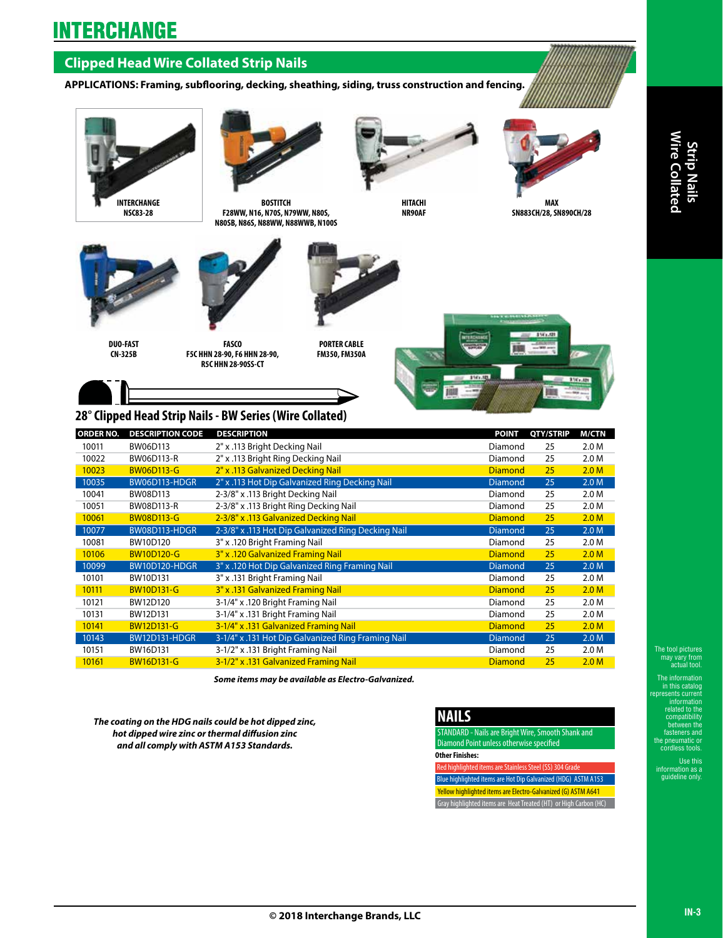# **INTERCHANGE**

## **Clipped Head Wire Collated Strip Nails**

**APPLICATIONS: Framing, subflooring, decking, sheathing, siding, truss construction and fencing.**





**BOSTITCH F28WW, N16, N70S, N79WW, N80S, N80SB, N86S, N88WW, N88WWB, N100S**



**HITACHI NR90AF**



**SN883CH/28, SN890CH/28**



**DUO-FAST CN-325B** 

**FASCO F5C HHN 28-90, F6 HHN 28-90, R5C HHN 28-90SS-CT**



**PORTER CABLE FM350, FM350A**



## **28° Clipped Head Strip Nails - BW Series (Wire Collated)**

| <b>ORDER NO.</b> | <b>DESCRIPTION CODE</b> | <b>DESCRIPTION</b>                                 | <b>POINT</b>   | QTY/STRIP | <b>M/CTN</b>     |
|------------------|-------------------------|----------------------------------------------------|----------------|-----------|------------------|
| 10011            | BW06D113                | 2" x .113 Bright Decking Nail                      | Diamond        | 25        | 2.0 M            |
| 10022            | BW06D113-R              | 2" x .113 Bright Ring Decking Nail                 | Diamond        | 25        | 2.0 M            |
| 10023            | <b>BW06D113-G</b>       | 2" x .113 Galvanized Decking Nail                  | <b>Diamond</b> | 25        | 2.0 <sub>M</sub> |
| 10035            | BW06D113-HDGR           | 2" x .113 Hot Dip Galvanized Ring Decking Nail     | <b>Diamond</b> | 25        | 2.0 M            |
| 10041            | BW08D113                | 2-3/8" x .113 Bright Decking Nail                  | Diamond        | 25        | 2.0 M            |
| 10051            | BW08D113-R              | 2-3/8" x .113 Bright Ring Decking Nail             | Diamond        | 25        | 2.0 M            |
| 10061            | <b>BW08D113-G</b>       | 2-3/8" x .113 Galvanized Decking Nail              | <b>Diamond</b> | 25        | 2.0 <sub>M</sub> |
| 10077            | BW08D113-HDGR           | 2-3/8" x .113 Hot Dip Galvanized Ring Decking Nail | <b>Diamond</b> | 25        | 2.0 M            |
| 10081            | BW10D120                | 3" x .120 Bright Framing Nail                      | Diamond        | 25        | 2.0 M            |
| 10106            | <b>BW10D120-G</b>       | 3" x .120 Galvanized Framing Nail                  | <b>Diamond</b> | 25        | 2.0 <sub>M</sub> |
| 10099            | <b>BW10D120-HDGR</b>    | 3" x .120 Hot Dip Galvanized Ring Framing Nail     | <b>Diamond</b> | 25        | 2.0 M            |
| 10101            | BW10D131                | 3" x .131 Bright Framing Nail                      | Diamond        | 25        | 2.0 M            |
| 10111            | <b>BW10D131-G</b>       | 3" x .131 Galvanized Framing Nail                  | <b>Diamond</b> | 25        | 2.0 <sub>M</sub> |
| 10121            | BW12D120                | 3-1/4" x .120 Bright Framing Nail                  | Diamond        | 25        | 2.0 M            |
| 10131            | BW12D131                | 3-1/4" x .131 Bright Framing Nail                  | Diamond        | 25        | 2.0 M            |
| 10141            | <b>BW12D131-G</b>       | 3-1/4" x .131 Galvanized Framing Nail              | <b>Diamond</b> | 25        | 2.0 <sub>M</sub> |
| 10143            | <b>BW12D131-HDGR</b>    | 3-1/4" x .131 Hot Dip Galvanized Ring Framing Nail | <b>Diamond</b> | 25        | 2.0 <sub>M</sub> |
| 10151            | BW16D131                | 3-1/2" x .131 Bright Framing Nail                  | Diamond        | 25        | 2.0 M            |
| 10161            | <b>BW16D131-G</b>       | 3-1/2" x .131 Galvanized Framing Nail              | <b>Diamond</b> | 25        | 2.0 <sub>M</sub> |

*Some items may be available as Electro-Galvanized.*

*The coating on the HDG nails could be hot dipped zinc, hot dipped wire zinc or thermal diffusion zinc and all comply with ASTM A153 Standards.*

## **NAILS**

STANDARD - Nails are Bright Wire, Smooth Shank and Diamond Point unless otherwise specified **Other Finishes:**

Red highlighted items are Stainless Steel (SS) 304 Grade Blue highlighted items are Hot Dip Galvanized (HDG) ASTM A153 Yellow highlighted items are Electro-Galvanized (G) ASTM A641 Gray highlighted items are Heat Treated (HT) or High Carbon (HC) Wire Coll

The tool pictures may vary from actual tool.

The information in this catalog represents current information related to the compatibility between the fasteners and the pneumatic or cordless tools.

Use this irmation

auideline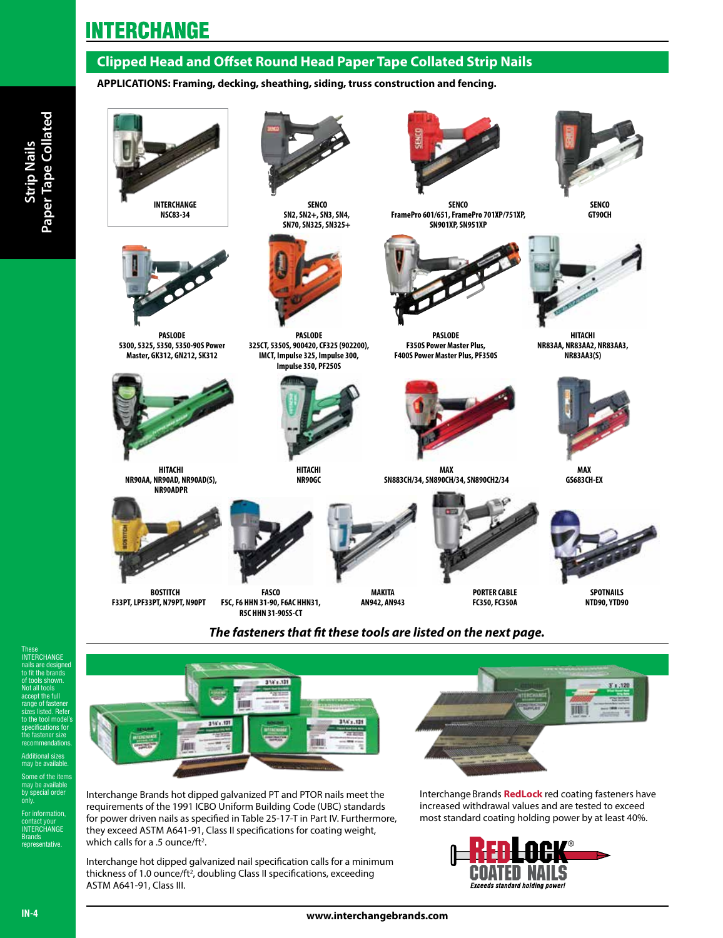## **INTERCHANGE**

## **Clipped Head and Offset Round Head Paper Tape Collated Strip Nails**

#### **APPLICATIONS: Framing, decking, sheathing, siding, truss construction and fencing.**



**NSC83-34**



**PASLODE 5300, 5325, 5350, 5350-90S Power Master, GK312, GN212, SK312**



**HITACHI NR90AA, NR90AD, NR90AD(S), NR90ADPR**



 **BOSTITCH F33PT, LPF33PT, N79PT, N90PT**



 **SENCO SN2, SN2+, SN3, SN4, SN70, SN325, SN325+**



**PASLODE 325CT, 5350S, 900420, CF325 (902200), IMCT, Impulse 325, Impulse 300, Impulse 350, PF250S**



**HITACHI NR90GC** 

**FASCO F5C, F6 HHN 31-90, F6AC HHN31, R5C HHN 31-90SS-CT**

**SENCO FramePro 601/651, FramePro 701XP/751XP, SN901XP, SN951XP** 



**PASLODE F350S Power Master Plus, F400S Power Master Plus, PF350S**



**PORTER CABLE FC350, FC350A**

**MAX SN883CH/34, SN890CH/34, SN890CH2/34**



**SENCO GT90CH**



**HITACHI NR83AA, NR83AA2, NR83AA3, NR83AA3(S)**



**MAX GS683CH-EX**



**MAKITA AN942, AN943**



**SPOTNAILS NTD90, YTD90**

## *The fasteners that fit these tools are listed on the next page.*



Interchange Brands hot dipped galvanized PT and PTOR nails meet the requirements of the 1991 ICBO Uniform Building Code (UBC) standards for power driven nails as specified in Table 25-17-T in Part IV. Furthermore, they exceed ASTM A641-91, Class II specifications for coating weight, which calls for a .5 ounce/ft<sup>2</sup>.

Interchange hot dipped galvanized nail specification calls for a minimum thickness of 1.0 ounce/ft<sup>2</sup>, doubling Class II specifications, exceeding ASTM A641-91, Class III.





by special order only. For information, contact your<br>INTERCHANGE Brands representative.